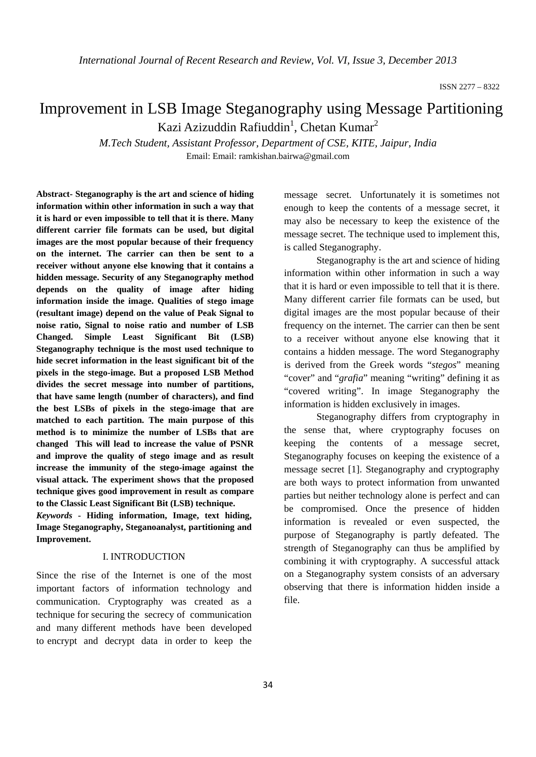# Improvement in LSB Image Steganography using Message Partitioning Kazi Azizuddin Rafiuddin<sup>1</sup>, Chetan Kumar<sup>2</sup>

*M.Tech Student, Assistant Professor, Department of CSE, KITE, Jaipur, India*  Email: Email: ramkishan.bairwa@gmail.com

**Abstract- Steganography is the art and science of hiding information within other information in such a way that it is hard or even impossible to tell that it is there. Many different carrier file formats can be used, but digital images are the most popular because of their frequency on the internet. The carrier can then be sent to a receiver without anyone else knowing that it contains a hidden message. Security of any Steganography method depends on the quality of image after hiding information inside the image. Qualities of stego image (resultant image) depend on the value of Peak Signal to noise ratio, Signal to noise ratio and number of LSB Changed. Simple Least Significant Bit (LSB) Steganography technique is the most used technique to hide secret information in the least significant bit of the pixels in the stego-image. But a proposed LSB Method divides the secret message into number of partitions, that have same length (number of characters), and find the best LSBs of pixels in the stego-image that are matched to each partition. The main purpose of this method is to minimize the number of LSBs that are changed This will lead to increase the value of PSNR and improve the quality of stego image and as result increase the immunity of the stego-image against the visual attack. The experiment shows that the proposed technique gives good improvement in result as compare to the Classic Least Significant Bit (LSB) technique.** 

*Keywords* **- Hiding information, Image, text hiding, Image Steganography, Steganoanalyst, partitioning and Improvement.** 

## I. INTRODUCTION

Since the rise of the Internet is one of the most important factors of information technology and communication. Cryptography was created as a technique for securing the secrecy of communication and many different methods have been developed to encrypt and decrypt data in order to keep the

message secret. Unfortunately it is sometimes not enough to keep the contents of a message secret, it may also be necessary to keep the existence of the message secret. The technique used to implement this, is called Steganography.

 Steganography is the art and science of hiding information within other information in such a way that it is hard or even impossible to tell that it is there. Many different carrier file formats can be used, but digital images are the most popular because of their frequency on the internet. The carrier can then be sent to a receiver without anyone else knowing that it contains a hidden message. The word Steganography is derived from the Greek words "*stegos*" meaning "cover" and "*grafia*" meaning "writing" defining it as "covered writing". In image Steganography the information is hidden exclusively in images.

 Steganography differs from cryptography in the sense that, where cryptography focuses on keeping the contents of a message secret, Steganography focuses on keeping the existence of a message secret [1]. Steganography and cryptography are both ways to protect information from unwanted parties but neither technology alone is perfect and can be compromised. Once the presence of hidden information is revealed or even suspected, the purpose of Steganography is partly defeated. The strength of Steganography can thus be amplified by combining it with cryptography. A successful attack on a Steganography system consists of an adversary observing that there is information hidden inside a file.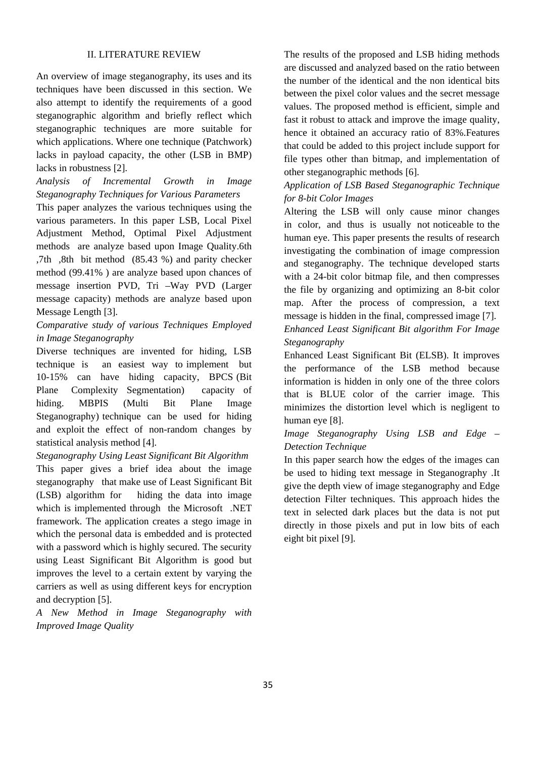#### II. LITERATURE REVIEW

An overview of image steganography, its uses and its techniques have been discussed in this section. We also attempt to identify the requirements of a good steganographic algorithm and briefly reflect which steganographic techniques are more suitable for which applications. Where one technique (Patchwork) lacks in payload capacity, the other (LSB in BMP) lacks in robustness [2].

*Analysis of Incremental Growth in Image Steganography Techniques for Various Parameters* 

This paper analyzes the various techniques using the various parameters. In this paper LSB, Local Pixel Adjustment Method, Optimal Pixel Adjustment methods are analyze based upon Image Quality.6th ,7th ,8th bit method (85.43 %) and parity checker method (99.41% ) are analyze based upon chances of message insertion PVD, Tri –Way PVD (Larger message capacity) methods are analyze based upon Message Length [3].

# *Comparative study of various Techniques Employed in Image Steganography*

Diverse techniques are invented for hiding, LSB technique is an easiest way to implement but 10-15% can have hiding capacity, BPCS (Bit Plane Complexity Segmentation) capacity of hiding. MBPIS (Multi Bit Plane Image Steganography) technique can be used for hiding and exploit the effect of non-random changes by statistical analysis method [4].

*Steganography Using Least Significant Bit Algorithm*  This paper gives a brief idea about the image steganography that make use of Least Significant Bit (LSB) algorithm for hiding the data into image which is implemented through the Microsoft .NET framework. The application creates a stego image in which the personal data is embedded and is protected with a password which is highly secured. The security using Least Significant Bit Algorithm is good but improves the level to a certain extent by varying the carriers as well as using different keys for encryption and decryption [5].

*A New Method in Image Steganography with Improved Image Quality* 

The results of the proposed and LSB hiding methods are discussed and analyzed based on the ratio between the number of the identical and the non identical bits between the pixel color values and the secret message values. The proposed method is efficient, simple and fast it robust to attack and improve the image quality, hence it obtained an accuracy ratio of 83%.Features that could be added to this project include support for file types other than bitmap, and implementation of other steganographic methods [6].

# *Application of LSB Based Steganographic Technique for 8-bit Color Images*

Altering the LSB will only cause minor changes in color, and thus is usually not noticeable to the human eye. This paper presents the results of research investigating the combination of image compression and steganography. The technique developed starts with a 24-bit color bitmap file, and then compresses the file by organizing and optimizing an 8-bit color map. After the process of compression, a text message is hidden in the final, compressed image [7]. *Enhanced Least Significant Bit algorithm For Image Steganography* 

Enhanced Least Significant Bit (ELSB). It improves the performance of the LSB method because information is hidden in only one of the three colors that is BLUE color of the carrier image. This minimizes the distortion level which is negligent to human eye [8].

# *Image Steganography Using LSB and Edge – Detection Technique*

In this paper search how the edges of the images can be used to hiding text message in Steganography .It give the depth view of image steganography and Edge detection Filter techniques. This approach hides the text in selected dark places but the data is not put directly in those pixels and put in low bits of each eight bit pixel [9].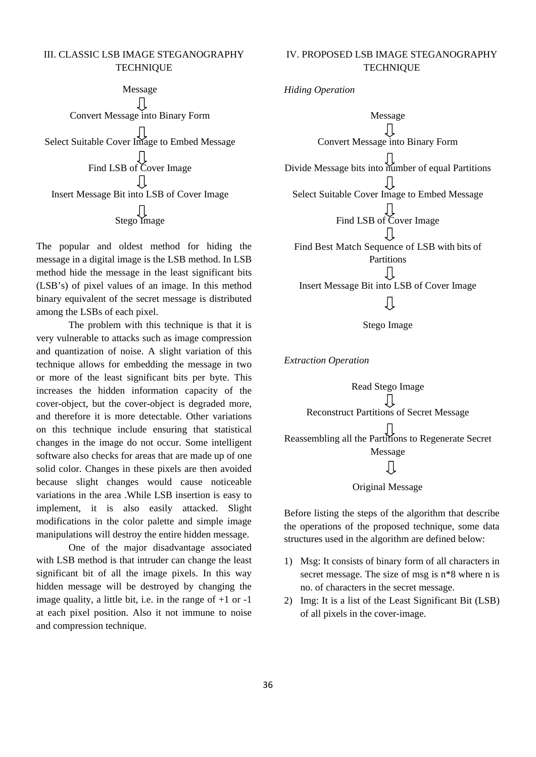## III. CLASSIC LSB IMAGE STEGANOGRAPHY **TECHNIQUE**

Message IJ Convert Message into Binary Form Select Suitable Cover Image to Embed Message Find LSB of Cover Image Ţļ Insert Message Bit into LSB of Cover Image Stego Image

The popular and oldest method for hiding the message in a digital image is the LSB method. In LSB method hide the message in the least significant bits (LSB's) of pixel values of an image. In this method binary equivalent of the secret message is distributed among the LSBs of each pixel.

 The problem with this technique is that it is very vulnerable to attacks such as image compression and quantization of noise. A slight variation of this technique allows for embedding the message in two or more of the least significant bits per byte. This increases the hidden information capacity of the cover-object, but the cover-object is degraded more, and therefore it is more detectable. Other variations on this technique include ensuring that statistical changes in the image do not occur. Some intelligent software also checks for areas that are made up of one solid color. Changes in these pixels are then avoided because slight changes would cause noticeable variations in the area .While LSB insertion is easy to implement, it is also easily attacked. Slight modifications in the color palette and simple image manipulations will destroy the entire hidden message.

 One of the major disadvantage associated with LSB method is that intruder can change the least significant bit of all the image pixels. In this way hidden message will be destroyed by changing the image quality, a little bit, i.e. in the range of  $+1$  or  $-1$ at each pixel position. Also it not immune to noise and compression technique.

# IV. PROPOSED LSB IMAGE STEGANOGRAPHY **TECHNIQUE**

*Hiding Operation* 



Stego Image

*Extraction Operation* 



## Original Message

Before listing the steps of the algorithm that describe the operations of the proposed technique, some data structures used in the algorithm are defined below:

- 1) Msg: It consists of binary form of all characters in secret message. The size of msg is n\*8 where n is no. of characters in the secret message.
- 2) Img: It is a list of the Least Significant Bit (LSB) of all pixels in the cover-image.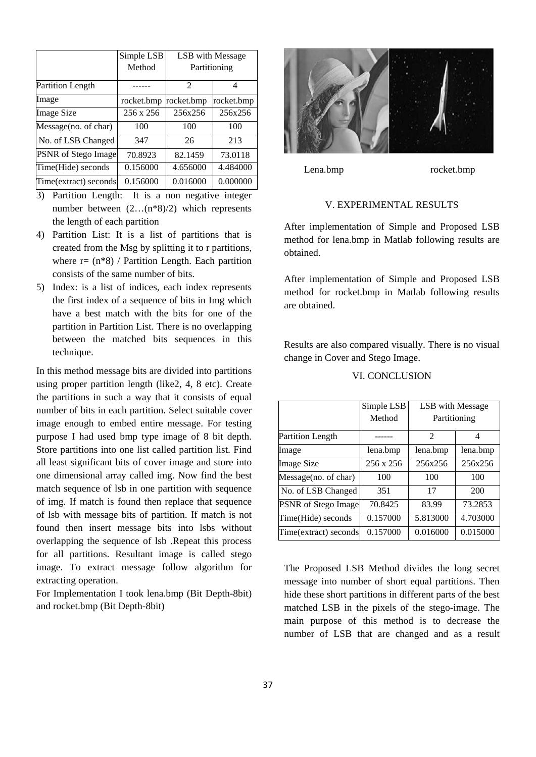|                         | Simple LSB | LSB with Message<br>Partitioning |            |
|-------------------------|------------|----------------------------------|------------|
|                         | Method     |                                  |            |
| <b>Partition Length</b> |            | 2                                | 4          |
| Image                   | rocket.bmp | rocket.bmp                       | rocket.bmp |
| <b>Image Size</b>       | 256 x 256  | 256x256                          | 256x256    |
| Message(no. of char)    | 100        | 100                              | 100        |
| No. of LSB Changed      | 347        | 26                               | 213        |
| PSNR of Stego Image     | 70.8923    | 82.1459                          | 73.0118    |
| Time(Hide) seconds      | 0.156000   | 4.656000                         | 4.484000   |
| Time(extract) seconds   | 0.156000   | 0.016000                         | 0.000000   |

- 3) Partition Length: It is a non negative integer number between (2…(n\*8)/2) which represents the length of each partition
- 4) Partition List: It is a list of partitions that is created from the Msg by splitting it to r partitions, where  $r = (n*8) /$  Partition Length. Each partition consists of the same number of bits.
- 5) Index: is a list of indices, each index represents the first index of a sequence of bits in Img which have a best match with the bits for one of the partition in Partition List. There is no overlapping between the matched bits sequences in this technique.

In this method message bits are divided into partitions using proper partition length (like2, 4, 8 etc). Create the partitions in such a way that it consists of equal number of bits in each partition. Select suitable cover image enough to embed entire message. For testing purpose I had used bmp type image of 8 bit depth. Store partitions into one list called partition list. Find all least significant bits of cover image and store into one dimensional array called img. Now find the best match sequence of lsb in one partition with sequence of img. If match is found then replace that sequence of lsb with message bits of partition. If match is not found then insert message bits into lsbs without overlapping the sequence of lsb .Repeat this process for all partitions. Resultant image is called stego image. To extract message follow algorithm for extracting operation.

For Implementation I took lena.bmp (Bit Depth-8bit) and rocket.bmp (Bit Depth-8bit)



Lena.bmp rocket.bmp

## V. EXPERIMENTAL RESULTS

After implementation of Simple and Proposed LSB method for lena.bmp in Matlab following results are obtained.

After implementation of Simple and Proposed LSB method for rocket.bmp in Matlab following results are obtained.

Results are also compared visually. There is no visual change in Cover and Stego Image.

| VI. CONCLUSION |
|----------------|
|----------------|

|                         | Simple LSB       | LSB with Message |          |
|-------------------------|------------------|------------------|----------|
|                         | Method           | Partitioning     |          |
| <b>Partition Length</b> |                  | 2                | 4        |
| Image                   | lena.bmp         | lena.bmp         | lena.bmp |
| <b>Image Size</b>       | $256 \times 256$ | 256x256          | 256x256  |
| Message(no. of char)    | 100              | 100              | 100      |
| No. of LSB Changed      | 351              | 17               | 200      |
| PSNR of Stego Image     | 70.8425          | 83.99            | 73.2853  |
| Time(Hide) seconds      | 0.157000         | 5.813000         | 4.703000 |
| Time(extract) seconds   | 0.157000         | 0.016000         | 0.015000 |

The Proposed LSB Method divides the long secret message into number of short equal partitions. Then hide these short partitions in different parts of the best matched LSB in the pixels of the stego-image. The main purpose of this method is to decrease the number of LSB that are changed and as a result